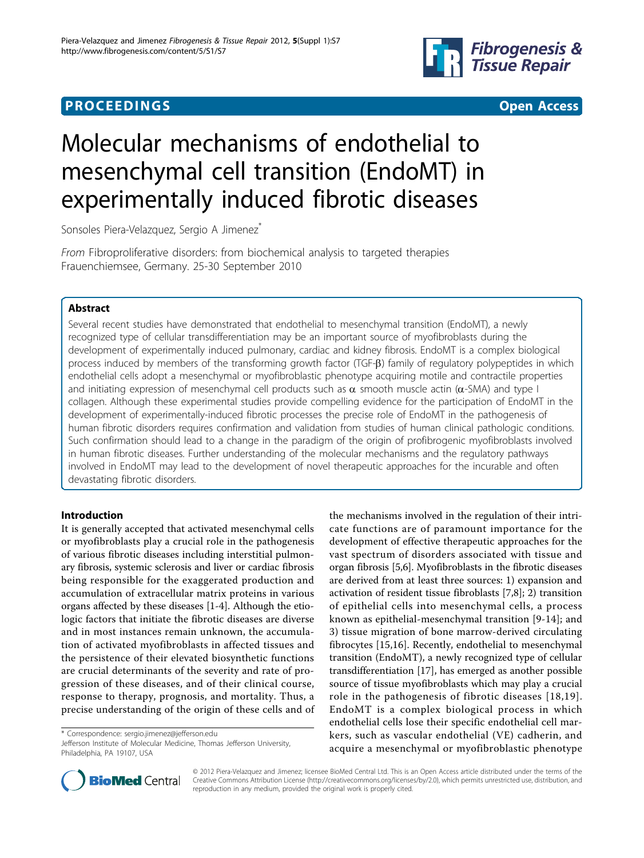# **PROCEEDINGS CONSUMING S** Open Access **CONSUMING S**



# Molecular mechanisms of endothelial to mesenchymal cell transition (EndoMT) in experimentally induced fibrotic diseases

Sonsoles Piera-Velazquez, Sergio A Jimenez<sup>\*</sup>

From Fibroproliferative disorders: from biochemical analysis to targeted therapies Frauenchiemsee, Germany. 25-30 September 2010

# Abstract

Several recent studies have demonstrated that endothelial to mesenchymal transition (EndoMT), a newly recognized type of cellular transdifferentiation may be an important source of myofibroblasts during the development of experimentally induced pulmonary, cardiac and kidney fibrosis. EndoMT is a complex biological process induced by members of the transforming growth factor (TGF- $\beta$ ) family of regulatory polypeptides in which endothelial cells adopt a mesenchymal or myofibroblastic phenotype acquiring motile and contractile properties and initiating expression of mesenchymal cell products such as  $\alpha$  smooth muscle actin ( $\alpha$ -SMA) and type I collagen. Although these experimental studies provide compelling evidence for the participation of EndoMT in the development of experimentally-induced fibrotic processes the precise role of EndoMT in the pathogenesis of human fibrotic disorders requires confirmation and validation from studies of human clinical pathologic conditions. Such confirmation should lead to a change in the paradigm of the origin of profibrogenic myofibroblasts involved in human fibrotic diseases. Further understanding of the molecular mechanisms and the regulatory pathways involved in EndoMT may lead to the development of novel therapeutic approaches for the incurable and often devastating fibrotic disorders.

# Introduction

It is generally accepted that activated mesenchymal cells or myofibroblasts play a crucial role in the pathogenesis of various fibrotic diseases including interstitial pulmonary fibrosis, systemic sclerosis and liver or cardiac fibrosis being responsible for the exaggerated production and accumulation of extracellular matrix proteins in various organs affected by these diseases [\[1](#page-3-0)-[4](#page-4-0)]. Although the etiologic factors that initiate the fibrotic diseases are diverse and in most instances remain unknown, the accumulation of activated myofibroblasts in affected tissues and the persistence of their elevated biosynthetic functions are crucial determinants of the severity and rate of progression of these diseases, and of their clinical course, response to therapy, prognosis, and mortality. Thus, a precise understanding of the origin of these cells and of

\* Correspondence: [sergio.jimenez@jefferson.edu](mailto:sergio.jimenez@jefferson.edu)

Jefferson Institute of Molecular Medicine, Thomas Jefferson University, Philadelphia, PA 19107, USA

the mechanisms involved in the regulation of their intricate functions are of paramount importance for the development of effective therapeutic approaches for the vast spectrum of disorders associated with tissue and organ fibrosis [[5](#page-4-0),[6\]](#page-4-0). Myofibroblasts in the fibrotic diseases are derived from at least three sources: 1) expansion and activation of resident tissue fibroblasts [[7,8](#page-4-0)]; 2) transition of epithelial cells into mesenchymal cells, a process known as epithelial-mesenchymal transition [[9](#page-4-0)-[14\]](#page-4-0); and 3) tissue migration of bone marrow-derived circulating fibrocytes [\[15,16](#page-4-0)]. Recently, endothelial to mesenchymal transition (EndoMT), a newly recognized type of cellular transdifferentiation [[17\]](#page-4-0), has emerged as another possible source of tissue myofibroblasts which may play a crucial role in the pathogenesis of fibrotic diseases [[18](#page-4-0),[19\]](#page-4-0). EndoMT is a complex biological process in which endothelial cells lose their specific endothelial cell markers, such as vascular endothelial (VE) cadherin, and acquire a mesenchymal or myofibroblastic phenotype



© 2012 Piera-Velazquez and Jimenez; licensee BioMed Central Ltd. This is an Open Access article distributed under the terms of the Creative Commons Attribution License (<http://creativecommons.org/licenses/by/2.0>), which permits unrestricted use, distribution, and reproduction in any medium, provided the original work is properly cited.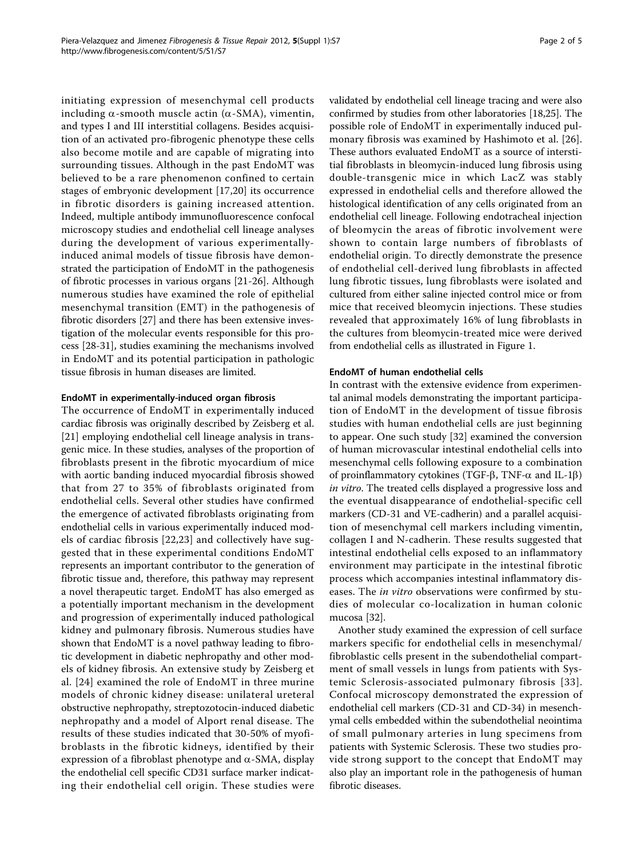initiating expression of mesenchymal cell products including  $\alpha$ -smooth muscle actin ( $\alpha$ -SMA), vimentin, and types I and III interstitial collagens. Besides acquisition of an activated pro-fibrogenic phenotype these cells also become motile and are capable of migrating into surrounding tissues. Although in the past EndoMT was believed to be a rare phenomenon confined to certain stages of embryonic development [[17,20](#page-4-0)] its occurrence in fibrotic disorders is gaining increased attention. Indeed, multiple antibody immunofluorescence confocal microscopy studies and endothelial cell lineage analyses during the development of various experimentallyinduced animal models of tissue fibrosis have demonstrated the participation of EndoMT in the pathogenesis of fibrotic processes in various organs [[21-26](#page-4-0)]. Although numerous studies have examined the role of epithelial mesenchymal transition (EMT) in the pathogenesis of fibrotic disorders [[27\]](#page-4-0) and there has been extensive investigation of the molecular events responsible for this process [\[28-31](#page-4-0)], studies examining the mechanisms involved in EndoMT and its potential participation in pathologic tissue fibrosis in human diseases are limited.

## EndoMT in experimentally-induced organ fibrosis

The occurrence of EndoMT in experimentally induced cardiac fibrosis was originally described by Zeisberg et al. [[21\]](#page-4-0) employing endothelial cell lineage analysis in transgenic mice. In these studies, analyses of the proportion of fibroblasts present in the fibrotic myocardium of mice with aortic banding induced myocardial fibrosis showed that from 27 to 35% of fibroblasts originated from endothelial cells. Several other studies have confirmed the emergence of activated fibroblasts originating from endothelial cells in various experimentally induced models of cardiac fibrosis [[22,23](#page-4-0)] and collectively have suggested that in these experimental conditions EndoMT represents an important contributor to the generation of fibrotic tissue and, therefore, this pathway may represent a novel therapeutic target. EndoMT has also emerged as a potentially important mechanism in the development and progression of experimentally induced pathological kidney and pulmonary fibrosis. Numerous studies have shown that EndoMT is a novel pathway leading to fibrotic development in diabetic nephropathy and other models of kidney fibrosis. An extensive study by Zeisberg et al. [[24](#page-4-0)] examined the role of EndoMT in three murine models of chronic kidney disease: unilateral ureteral obstructive nephropathy, streptozotocin-induced diabetic nephropathy and a model of Alport renal disease. The results of these studies indicated that 30-50% of myofibroblasts in the fibrotic kidneys, identified by their expression of a fibroblast phenotype and  $\alpha$ -SMA, display the endothelial cell specific CD31 surface marker indicating their endothelial cell origin. These studies were validated by endothelial cell lineage tracing and were also confirmed by studies from other laboratories [[18](#page-4-0),[25](#page-4-0)]. The possible role of EndoMT in experimentally induced pulmonary fibrosis was examined by Hashimoto et al. [[26](#page-4-0)]. These authors evaluated EndoMT as a source of interstitial fibroblasts in bleomycin-induced lung fibrosis using double-transgenic mice in which LacZ was stably expressed in endothelial cells and therefore allowed the histological identification of any cells originated from an endothelial cell lineage. Following endotracheal injection of bleomycin the areas of fibrotic involvement were shown to contain large numbers of fibroblasts of endothelial origin. To directly demonstrate the presence of endothelial cell-derived lung fibroblasts in affected lung fibrotic tissues, lung fibroblasts were isolated and cultured from either saline injected control mice or from mice that received bleomycin injections. These studies revealed that approximately 16% of lung fibroblasts in the cultures from bleomycin-treated mice were derived from endothelial cells as illustrated in Figure [1](#page-2-0).

## EndoMT of human endothelial cells

In contrast with the extensive evidence from experimental animal models demonstrating the important participation of EndoMT in the development of tissue fibrosis studies with human endothelial cells are just beginning to appear. One such study [\[32](#page-4-0)] examined the conversion of human microvascular intestinal endothelial cells into mesenchymal cells following exposure to a combination of proinflammatory cytokines (TGF- $\beta$ , TNF- $\alpha$  and IL-1 $\beta$ ) in vitro. The treated cells displayed a progressive loss and the eventual disappearance of endothelial-specific cell markers (CD-31 and VE-cadherin) and a parallel acquisition of mesenchymal cell markers including vimentin, collagen I and N-cadherin. These results suggested that intestinal endothelial cells exposed to an inflammatory environment may participate in the intestinal fibrotic process which accompanies intestinal inflammatory diseases. The in vitro observations were confirmed by studies of molecular co-localization in human colonic mucosa [[32](#page-4-0)].

Another study examined the expression of cell surface markers specific for endothelial cells in mesenchymal/ fibroblastic cells present in the subendothelial compartment of small vessels in lungs from patients with Systemic Sclerosis-associated pulmonary fibrosis [[33\]](#page-4-0). Confocal microscopy demonstrated the expression of endothelial cell markers (CD-31 and CD-34) in mesenchymal cells embedded within the subendothelial neointima of small pulmonary arteries in lung specimens from patients with Systemic Sclerosis. These two studies provide strong support to the concept that EndoMT may also play an important role in the pathogenesis of human fibrotic diseases.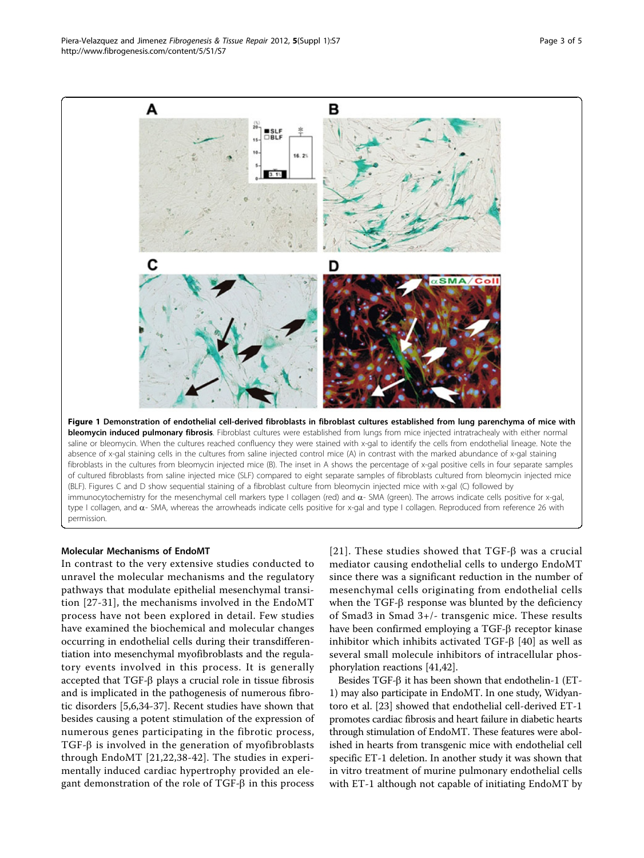<span id="page-2-0"></span>Piera-Velazquez and Jimenez Fibrogenesis & Tissue Repair 2012, <sup>5</sup>(Suppl 1):S7 http://www.fibrogenesis.com/content/5/S1/S7



#### Molecular Mechanisms of EndoMT

In contrast to the very extensive studies conducted to unravel the molecular mechanisms and the regulatory pathways that modulate epithelial mesenchymal transition [\[27-31\]](#page-4-0), the mechanisms involved in the EndoMT process have not been explored in detail. Few studies have examined the biochemical and molecular changes occurring in endothelial cells during their transdifferentiation into mesenchymal myofibroblasts and the regulatory events involved in this process. It is generally accepted that TGF- $\beta$  plays a crucial role in tissue fibrosis and is implicated in the pathogenesis of numerous fibrotic disorders [[5,6,34](#page-4-0)-[37\]](#page-4-0). Recent studies have shown that besides causing a potent stimulation of the expression of numerous genes participating in the fibrotic process,  $TGF- $\beta$  is involved in the generation of myofibroblasts$ through EndoMT [\[21,22](#page-4-0),[38-42\]](#page-4-0). The studies in experimentally induced cardiac hypertrophy provided an elegant demonstration of the role of TGF- $\beta$  in this process

[[21\]](#page-4-0). These studies showed that  $TGF-\beta$  was a crucial mediator causing endothelial cells to undergo EndoMT since there was a significant reduction in the number of mesenchymal cells originating from endothelial cells when the  $TGF- $\beta$  response was blunted by the deficiency$ of Smad3 in Smad 3+/- transgenic mice. These results have been confirmed employing a TGF- $\beta$  receptor kinase inhibitor which inhibits activated TGF- $\beta$  [[40\]](#page-4-0) as well as several small molecule inhibitors of intracellular phosphorylation reactions [[41](#page-4-0),[42](#page-4-0)].

Besides TGF- $\beta$  it has been shown that endothelin-1 (ET-1) may also participate in EndoMT. In one study, Widyantoro et al. [\[23](#page-4-0)] showed that endothelial cell-derived ET-1 promotes cardiac fibrosis and heart failure in diabetic hearts through stimulation of EndoMT. These features were abolished in hearts from transgenic mice with endothelial cell specific ET-1 deletion. In another study it was shown that in vitro treatment of murine pulmonary endothelial cells with ET-1 although not capable of initiating EndoMT by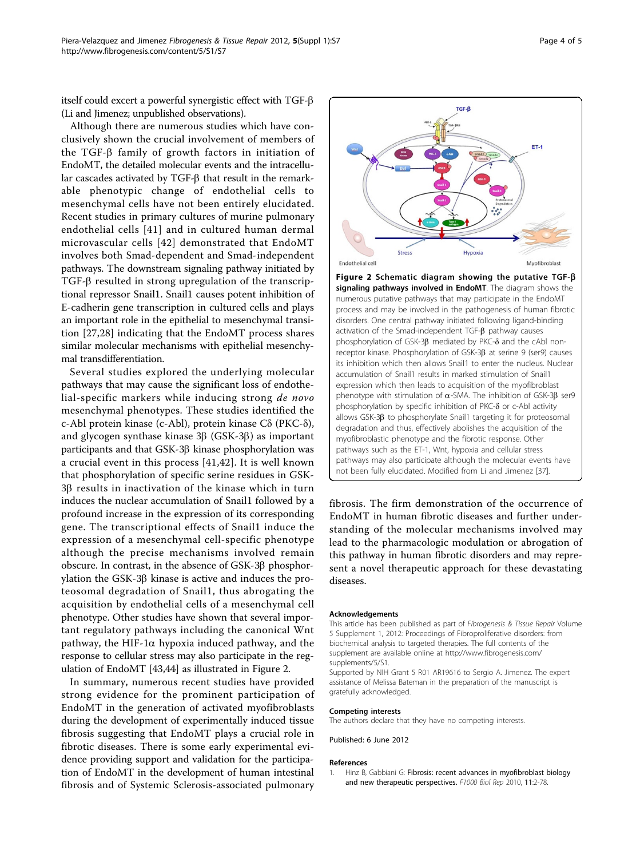<span id="page-3-0"></span>itself could excert a powerful synergistic effect with TGF-b (Li and Jimenez; unpublished observations).

Although there are numerous studies which have conclusively shown the crucial involvement of members of the TGF- $\beta$  family of growth factors in initiation of EndoMT, the detailed molecular events and the intracellular cascades activated by TGF- $\beta$  that result in the remarkable phenotypic change of endothelial cells to mesenchymal cells have not been entirely elucidated. Recent studies in primary cultures of murine pulmonary endothelial cells [[41\]](#page-4-0) and in cultured human dermal microvascular cells [[42](#page-4-0)] demonstrated that EndoMT involves both Smad-dependent and Smad-independent pathways. The downstream signaling pathway initiated by  $TGF-\beta$  resulted in strong upregulation of the transcriptional repressor Snail1. Snail1 causes potent inhibition of E-cadherin gene transcription in cultured cells and plays an important role in the epithelial to mesenchymal transition [[27,28](#page-4-0)] indicating that the EndoMT process shares similar molecular mechanisms with epithelial mesenchymal transdifferentiation.

Several studies explored the underlying molecular pathways that may cause the significant loss of endothelial-specific markers while inducing strong de novo mesenchymal phenotypes. These studies identified the c-Abl protein kinase (c-Abl), protein kinase Cδ (PKC-δ), and glycogen synthase kinase  $3\beta$  (GSK- $3\beta$ ) as important participants and that GSK-3 $\beta$  kinase phosphorylation was a crucial event in this process [\[41,42](#page-4-0)]. It is well known that phosphorylation of specific serine residues in GSK-3b results in inactivation of the kinase which in turn induces the nuclear accumulation of Snail1 followed by a profound increase in the expression of its corresponding gene. The transcriptional effects of Snail1 induce the expression of a mesenchymal cell-specific phenotype although the precise mechanisms involved remain obscure. In contrast, in the absence of GSK-3b phosphorylation the GSK-3 $\beta$  kinase is active and induces the proteosomal degradation of Snail1, thus abrogating the acquisition by endothelial cells of a mesenchymal cell phenotype. Other studies have shown that several important regulatory pathways including the canonical Wnt pathway, the HIF-1 $\alpha$  hypoxia induced pathway, and the response to cellular stress may also participate in the regulation of EndoMT [\[43,44\]](#page-4-0) as illustrated in Figure 2.

In summary, numerous recent studies have provided strong evidence for the prominent participation of EndoMT in the generation of activated myofibroblasts during the development of experimentally induced tissue fibrosis suggesting that EndoMT plays a crucial role in fibrotic diseases. There is some early experimental evidence providing support and validation for the participation of EndoMT in the development of human intestinal fibrosis and of Systemic Sclerosis-associated pulmonary



process and may be involved in the pathogenesis of human fibrotic disorders. One central pathway initiated following ligand-binding activation of the Smad-independent  $TGF-B$  pathway causes phosphorylation of GSK-3 $\beta$  mediated by PKC- $\delta$  and the cAbl nonreceptor kinase. Phosphorylation of GSK-3β at serine 9 (ser9) causes its inhibition which then allows Snail1 to enter the nucleus. Nuclear accumulation of Snail1 results in marked stimulation of Snail1 expression which then leads to acquisition of the myofibroblast phenotype with stimulation of  $\alpha$ -SMA. The inhibition of GSK-3 $\beta$  ser9 phosphorylation by specific inhibition of PKC-δ or c-Abl activity allows  $GSK-3\beta$  to phosphorylate Snail1 targeting it for proteosomal degradation and thus, effectively abolishes the acquisition of the myofibroblastic phenotype and the fibrotic response. Other pathways such as the ET-1, Wnt, hypoxia and cellular stress pathways may also participate although the molecular events have not been fully elucidated. Modified from Li and Jimenez [[37](#page-4-0)].

fibrosis. The firm demonstration of the occurrence of EndoMT in human fibrotic diseases and further understanding of the molecular mechanisms involved may lead to the pharmacologic modulation or abrogation of this pathway in human fibrotic disorders and may represent a novel therapeutic approach for these devastating diseases.

#### Acknowledgements

This article has been published as part of Fibrogenesis & Tissue Repair Volume 5 Supplement 1, 2012: Proceedings of Fibroproliferative disorders: from biochemical analysis to targeted therapies. The full contents of the supplement are available online at [http://www.fibrogenesis.com/](http://www.fibrogenesis.com/supplements/5/S1) [supplements/5/S1.](http://www.fibrogenesis.com/supplements/5/S1)

Supported by NIH Grant 5 R01 AR19616 to Sergio A. Jimenez. The expert assistance of Melissa Bateman in the preparation of the manuscript is gratefully acknowledged.

#### Competing interests

The authors declare that they have no competing interests.

Published: 6 June 2012

#### References

1. Hinz B, Gabbiani G: Fibrosis: recent advances in myofibroblast biology and new therapeutic perspectives. F1000 Biol Rep 2010, 11:2-78.